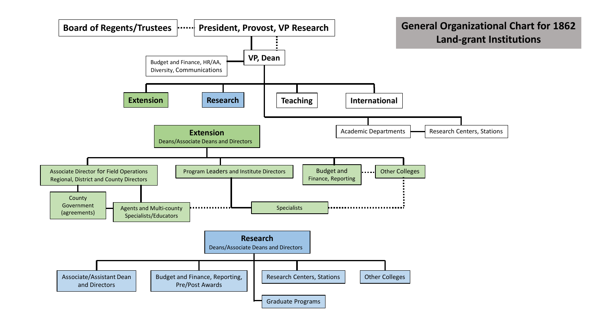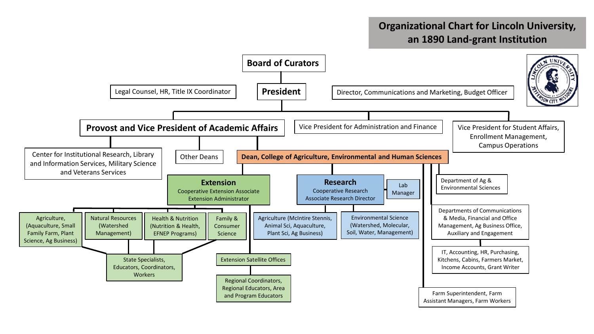## **Organizational Chart for Lincoln University, an 1890 Land-grant Institution**